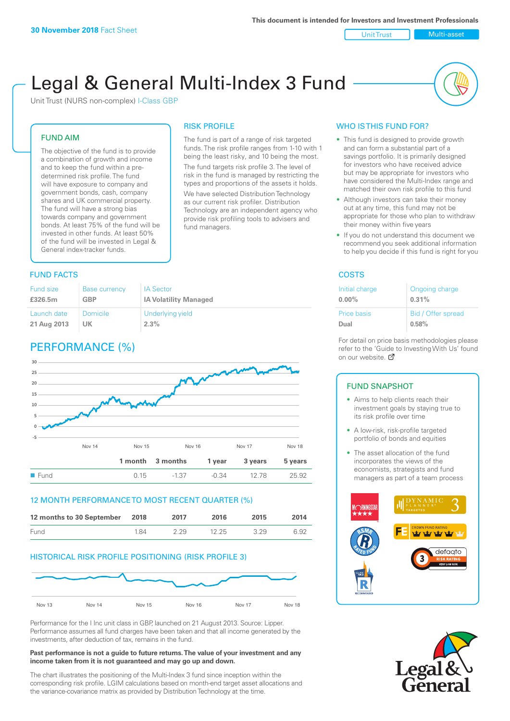Unit Trust Nulti-asset

# Legal & General Multi-Index 3 Fund

RISK PROFILE

fund managers.

The fund is part of a range of risk targeted funds. The risk profile ranges from 1-10 with 1 being the least risky, and 10 being the most. The fund targets risk profile 3. The level of risk in the fund is managed by restricting the types and proportions of the assets it holds. We have selected Distribution Technology as our current risk profiler. Distribution Technology are an independent agency who provide risk profiling tools to advisers and

Unit Trust (NURS non-complex) I-Class GBP

#### FUND AIM

The objective of the fund is to provide a combination of growth and income and to keep the fund within a predetermined risk profile. The fund will have exposure to company and government bonds, cash, company shares and UK commercial property. The fund will have a strong bias towards company and government bonds. At least 75% of the fund will be invested in other funds. At least 50% of the fund will be invested in Legal & General index-tracker funds.

#### **FUND FACTS** COSTS

| <b>Fund size</b> | <b>Base currency</b> | <b>IA Sector</b>             |
|------------------|----------------------|------------------------------|
| £326.5m          | <b>GBP</b>           | <b>IA Volatility Managed</b> |
| Launch date      | Domicile             | Underlying yield             |
| 21 Aug 2013      | UK                   | 2.3%                         |

## PERFORMANCE (%)



#### 12 MONTH PERFORMANCE TO MOST RECENT QUARTER (%)

| 12 months to 30 September 2018 |     | 2017 | 2016  | 2015 | 2014 |
|--------------------------------|-----|------|-------|------|------|
| Fund                           | 184 | 229  | 12.25 | 3 29 | 6.92 |

#### HISTORICAL RISK PROFILE POSITIONING (RISK PROFILE 3)



Performance for the I Inc unit class in GBP, launched on 21 August 2013. Source: Lipper. Performance assumes all fund charges have been taken and that all income generated by the investments, after deduction of tax, remains in the fund.

#### **Past performance is not a guide to future returns. The value of your investment and any income taken from it is not guaranteed and may go up and down.**

The chart illustrates the positioning of the Multi-Index 3 fund since inception within the corresponding risk profile. LGIM calculations based on month-end target asset allocations and the variance-covariance matrix as provided by Distribution Technology at the time.

#### WHO IS THIS FUND FOR?

- This fund is designed to provide growth and can form a substantial part of a savings portfolio. It is primarily designed for investors who have received advice but may be appropriate for investors who have considered the Multi-Index range and matched their own risk profile to this fund
- Although investors can take their money out at any time, this fund may not be appropriate for those who plan to withdraw their money within five years
- If you do not understand this document we recommend you seek additional information to help you decide if this fund is right for you

| Initial charge | Ongoing charge     |
|----------------|--------------------|
| $0.00\%$       | 0.31%              |
| Price basis    | Bid / Offer spread |
| Dual           | 0.58%              |

For detail on price basis methodologies please refer to the 'Guide to Investing With Us' found on our website. Ø

#### FUND SNAPSHOT

- Aims to help clients reach their investment goals by staying true to its risk profile over time
- A low-risk, risk-profile targeted portfolio of bonds and equities
- The asset allocation of the fund incorporates the views of the economists, strategists and fund managers as part of a team process



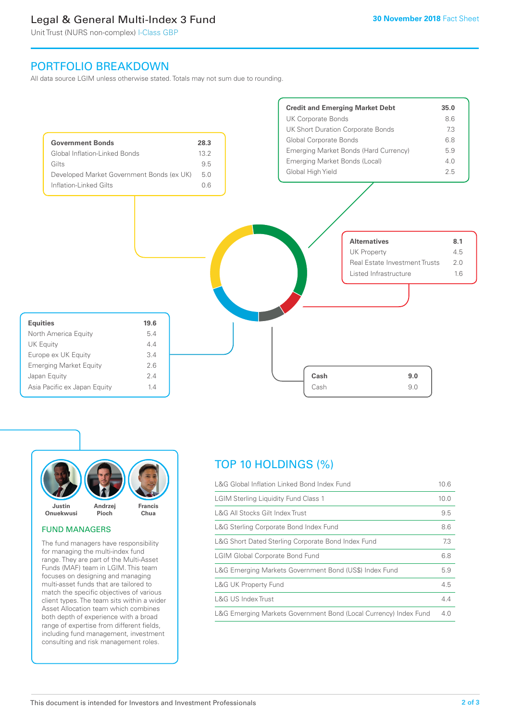## Legal & General Multi-Index 3 Fund

Unit Trust (NURS non-complex) I-Class GBP

## PORTFOLIO BREAKDOWN

All data source LGIM unless otherwise stated. Totals may not sum due to rounding.





#### FUND MANAGERS

The fund managers have responsibility for managing the multi-index fund range. They are part of the Multi-Asset Funds (MAF) team in LGIM. This team focuses on designing and managing multi-asset funds that are tailored to match the specific objectives of various client types. The team sits within a wider Asset Allocation team which combines both depth of experience with a broad range of expertise from different fields, including fund management, investment consulting and risk management roles.

## TOP 10 HOLDINGS (%)

| L&G Global Inflation Linked Bond Index Fund                      |      |  |
|------------------------------------------------------------------|------|--|
| <b>LGIM Sterling Liquidity Fund Class 1</b>                      | 10.0 |  |
| L&G All Stocks Gilt Index Trust                                  | 9.5  |  |
| L&G Sterling Corporate Bond Index Fund                           | 8.6  |  |
| L&G Short Dated Sterling Corporate Bond Index Fund               | 7.3  |  |
| <b>LGIM Global Corporate Bond Fund</b>                           | 6.8  |  |
| L&G Emerging Markets Government Bond (US\$) Index Fund           |      |  |
| <b>L&amp;G UK Property Fund</b>                                  | 4.5  |  |
| L&G US Index Trust                                               | 4.4  |  |
| L&G Emerging Markets Government Bond (Local Currency) Index Fund | 4.0  |  |